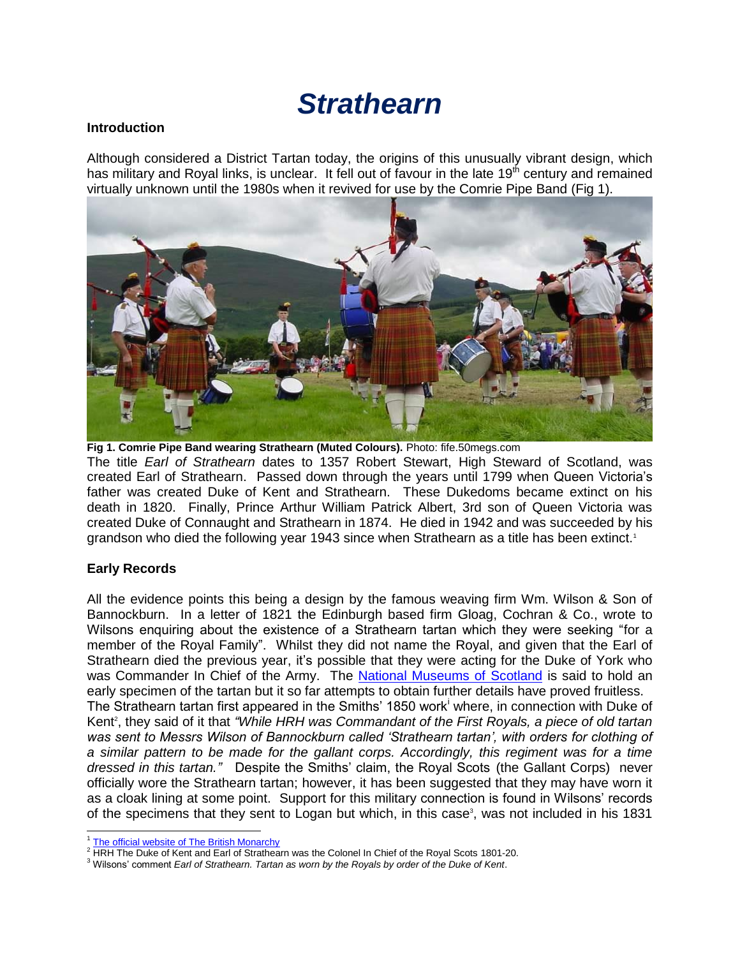# *Strathearn*

#### **Introduction**

Although considered a District Tartan today, the origins of this unusually vibrant design, which has military and Royal links, is unclear. It fell out of favour in the late  $19<sup>th</sup>$  century and remained virtually unknown until the 1980s when it revived for use by the Comrie Pipe Band (Fig 1).



**Fig 1. Comrie Pipe Band wearing Strathearn (Muted Colours).** Photo: fife.50megs.com The title *Earl of Strathearn* dates to 1357 Robert Stewart, High Steward of Scotland, was created Earl of Strathearn. Passed down through the years until 1799 when Queen Victoria's father was created Duke of Kent and Strathearn. These Dukedoms became extinct on his death in 1820. Finally, Prince Arthur William Patrick Albert, 3rd son of Queen Victoria was created Duke of Connaught and Strathearn in 1874. He died in 1942 and was succeeded by his grandson who died the following year 1943 since when Strathearn as a title has been extinct.<sup>1</sup>

### **Early Records**

All the evidence points this being a design by the famous weaving firm Wm. Wilson & Son of Bannockburn. In a letter of 1821 the Edinburgh based firm Gloag, Cochran & Co., wrote to Wilsons enquiring about the existence of a Strathearn tartan which they were seeking "for a member of the Royal Family". Whilst they did not name the Royal, and given that the Earl of Strathearn died the previous year, it's possible that they were acting for the Duke of York who was Commander In Chief of the Army. The [National Museums of Scotland](http://www.nms.ac.uk/) is said to hold an early specimen of the tartan but it so far attempts to obtain further details have proved fruitless. The Strathearn tartan first appeared in the Smiths' 1850 work<sup>i</sup> where, in connection with Duke of Kent<sup>2</sup>, they said of it that "While HRH was Commandant of the First Royals, a piece of old tartan was sent to Messrs Wilson of Bannockburn called 'Strathearn tartan', with orders for clothing of *a similar pattern to be made for the gallant corps. Accordingly, this regiment was for a time dressed in this tartan."* Despite the Smiths' claim, the Royal Scots (the Gallant Corps) never officially wore the Strathearn tartan; however, it has been suggested that they may have worn it as a cloak lining at some point. Support for this military connection is found in Wilsons' records of the specimens that they sent to Logan but which, in this case<sup>3</sup>, was not included in his 1831

 <sup>1</sup> [The official website of The British Monarchy](http://www.royal.gov.uk/ThecurrentRoyalFamily/TheDuchessofCambridge/Stylesandtitles.aspx)

<sup>&</sup>lt;sup>2</sup> HRH The Duke of Kent and Earl of Strathearn was the Colonel In Chief of the Royal Scots 1801-20.

<sup>3</sup> Wilsons' comment *Earl of Strathearn. Tartan as worn by the Royals by order of the Duke of Kent*.